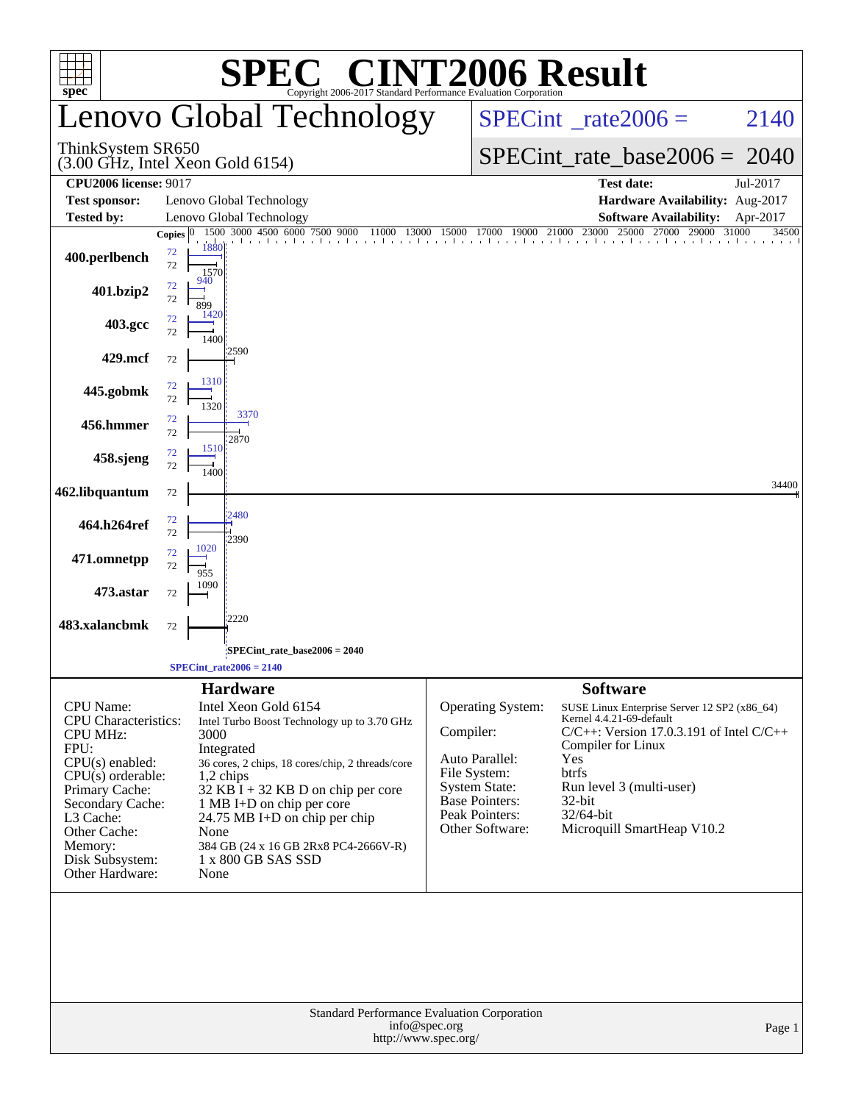|                                                                                                                                                                                                                                     |                                                                                                                                                                                                                                                                                                                                                                           | <b>C® CINT2006 Result</b>                                                                                                                              |                                                                                                                                                                                                                                                                     |  |  |  |  |  |
|-------------------------------------------------------------------------------------------------------------------------------------------------------------------------------------------------------------------------------------|---------------------------------------------------------------------------------------------------------------------------------------------------------------------------------------------------------------------------------------------------------------------------------------------------------------------------------------------------------------------------|--------------------------------------------------------------------------------------------------------------------------------------------------------|---------------------------------------------------------------------------------------------------------------------------------------------------------------------------------------------------------------------------------------------------------------------|--|--|--|--|--|
| $spec^{\circ}$                                                                                                                                                                                                                      | Copyright 2006-2017 Standard Performance Evaluation Corporation<br>Lenovo Global Technology                                                                                                                                                                                                                                                                               |                                                                                                                                                        | $SPECint^{\circ}$ <sub>_rate2006</sub> =<br>2140                                                                                                                                                                                                                    |  |  |  |  |  |
| ThinkSystem SR650                                                                                                                                                                                                                   | $(3.00 \text{ GHz}, \text{Intel Xeon Gold } 6154)$                                                                                                                                                                                                                                                                                                                        |                                                                                                                                                        | $SPECint_rate_base2006 = 2040$                                                                                                                                                                                                                                      |  |  |  |  |  |
| <b>CPU2006 license: 9017</b>                                                                                                                                                                                                        |                                                                                                                                                                                                                                                                                                                                                                           |                                                                                                                                                        | <b>Test date:</b><br>Jul-2017                                                                                                                                                                                                                                       |  |  |  |  |  |
| <b>Test sponsor:</b>                                                                                                                                                                                                                | Lenovo Global Technology<br>Lenovo Global Technology                                                                                                                                                                                                                                                                                                                      |                                                                                                                                                        | Hardware Availability: Aug-2017<br><b>Software Availability:</b>                                                                                                                                                                                                    |  |  |  |  |  |
| <b>Tested by:</b>                                                                                                                                                                                                                   | 1500 3000 4500 6000 7500 9000<br>11000<br>Copies $ 0 $                                                                                                                                                                                                                                                                                                                    |                                                                                                                                                        | Apr-2017<br>13000 15000 17000 19000 21000 23000 25000 27000 29000 31000<br>34500                                                                                                                                                                                    |  |  |  |  |  |
| 400.perlbench                                                                                                                                                                                                                       | 1880<br>72<br>72<br>1570                                                                                                                                                                                                                                                                                                                                                  |                                                                                                                                                        |                                                                                                                                                                                                                                                                     |  |  |  |  |  |
| 401.bzip2                                                                                                                                                                                                                           | 940<br>72<br>72<br>899<br>1420                                                                                                                                                                                                                                                                                                                                            |                                                                                                                                                        |                                                                                                                                                                                                                                                                     |  |  |  |  |  |
| 403.gcc                                                                                                                                                                                                                             | 72<br>72<br>1400<br>2590                                                                                                                                                                                                                                                                                                                                                  |                                                                                                                                                        |                                                                                                                                                                                                                                                                     |  |  |  |  |  |
| 429.mcf                                                                                                                                                                                                                             | 72                                                                                                                                                                                                                                                                                                                                                                        |                                                                                                                                                        |                                                                                                                                                                                                                                                                     |  |  |  |  |  |
| 445.gobmk                                                                                                                                                                                                                           | 1310<br>72<br>72<br>1320<br>3370                                                                                                                                                                                                                                                                                                                                          |                                                                                                                                                        |                                                                                                                                                                                                                                                                     |  |  |  |  |  |
| 456.hmmer                                                                                                                                                                                                                           | 72<br>72                                                                                                                                                                                                                                                                                                                                                                  |                                                                                                                                                        |                                                                                                                                                                                                                                                                     |  |  |  |  |  |
| 458.sjeng                                                                                                                                                                                                                           | 2870<br>1510<br>72<br>72<br>1400                                                                                                                                                                                                                                                                                                                                          |                                                                                                                                                        |                                                                                                                                                                                                                                                                     |  |  |  |  |  |
| 462.libquantum                                                                                                                                                                                                                      | 72                                                                                                                                                                                                                                                                                                                                                                        |                                                                                                                                                        | 34400                                                                                                                                                                                                                                                               |  |  |  |  |  |
| 464.h264ref                                                                                                                                                                                                                         | 2480<br>72<br>72<br>2390                                                                                                                                                                                                                                                                                                                                                  |                                                                                                                                                        |                                                                                                                                                                                                                                                                     |  |  |  |  |  |
| 471.omnetpp                                                                                                                                                                                                                         | 1020<br>72<br>72<br>955                                                                                                                                                                                                                                                                                                                                                   |                                                                                                                                                        |                                                                                                                                                                                                                                                                     |  |  |  |  |  |
| 473.astar                                                                                                                                                                                                                           | 1090<br>72<br>2220                                                                                                                                                                                                                                                                                                                                                        |                                                                                                                                                        |                                                                                                                                                                                                                                                                     |  |  |  |  |  |
| 483.xalancbmk                                                                                                                                                                                                                       | 72                                                                                                                                                                                                                                                                                                                                                                        |                                                                                                                                                        |                                                                                                                                                                                                                                                                     |  |  |  |  |  |
|                                                                                                                                                                                                                                     | SPECint_rate_base2006 = 2040;<br>$SPECint_rate2006 = 2140$                                                                                                                                                                                                                                                                                                                |                                                                                                                                                        |                                                                                                                                                                                                                                                                     |  |  |  |  |  |
|                                                                                                                                                                                                                                     |                                                                                                                                                                                                                                                                                                                                                                           |                                                                                                                                                        |                                                                                                                                                                                                                                                                     |  |  |  |  |  |
| CPU Name:<br><b>CPU</b> Characteristics:<br><b>CPU MHz:</b><br>FPU:<br>$CPU(s)$ enabled:<br>$CPU(s)$ orderable:<br>Primary Cache:<br>Secondary Cache:<br>L3 Cache:<br>Other Cache:<br>Memory:<br>Disk Subsystem:<br>Other Hardware: | <b>Hardware</b><br>Intel Xeon Gold 6154<br>Intel Turbo Boost Technology up to 3.70 GHz<br>3000<br>Integrated<br>36 cores, 2 chips, 18 cores/chip, 2 threads/core<br>1,2 chips<br>$32$ KB $\bar{1}$ + 32 KB D on chip per core<br>1 MB I+D on chip per core<br>24.75 MB I+D on chip per chip<br>None<br>384 GB (24 x 16 GB 2Rx8 PC4-2666V-R)<br>1 x 800 GB SAS SSD<br>None | Operating System:<br>Compiler:<br>Auto Parallel:<br>File System:<br><b>System State:</b><br><b>Base Pointers:</b><br>Peak Pointers:<br>Other Software: | <b>Software</b><br>SUSE Linux Enterprise Server 12 SP2 (x86_64)<br>Kernel 4.4.21-69-default<br>$C/C++$ : Version 17.0.3.191 of Intel $C/C++$<br>Compiler for Linux<br>Yes<br>btrfs<br>Run level 3 (multi-user)<br>32-bit<br>32/64-bit<br>Microquill SmartHeap V10.2 |  |  |  |  |  |
|                                                                                                                                                                                                                                     | Standard Performance Evaluation Corporation<br>info@spec.org<br>http://www.spec.org/                                                                                                                                                                                                                                                                                      |                                                                                                                                                        | Page 1                                                                                                                                                                                                                                                              |  |  |  |  |  |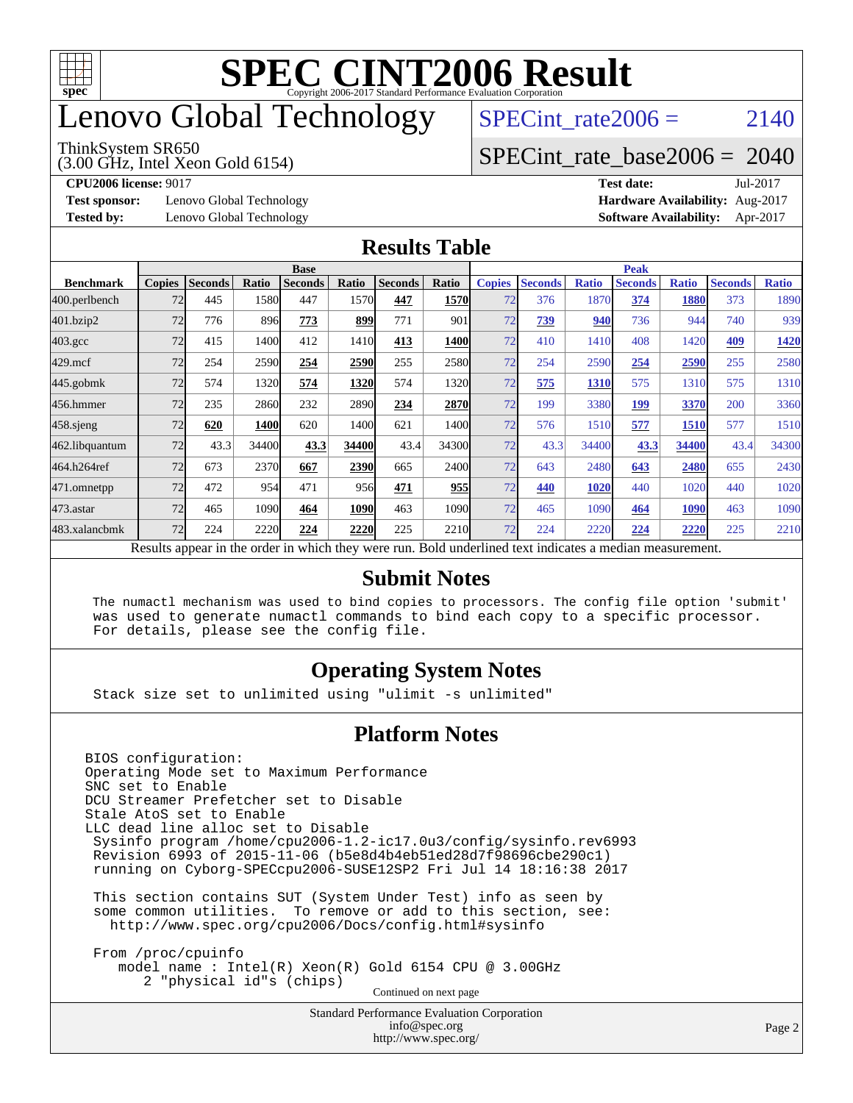

## enovo Global Technology

#### ThinkSystem SR650

(3.00 GHz, Intel Xeon Gold 6154)

SPECint rate $2006 = 2140$ 

#### [SPECint\\_rate\\_base2006 =](http://www.spec.org/auto/cpu2006/Docs/result-fields.html#SPECintratebase2006) 2040

**[Test sponsor:](http://www.spec.org/auto/cpu2006/Docs/result-fields.html#Testsponsor)** Lenovo Global Technology **[Hardware Availability:](http://www.spec.org/auto/cpu2006/Docs/result-fields.html#HardwareAvailability)** Aug-2017

**[CPU2006 license:](http://www.spec.org/auto/cpu2006/Docs/result-fields.html#CPU2006license)** 9017 **[Test date:](http://www.spec.org/auto/cpu2006/Docs/result-fields.html#Testdate)** Jul-2017 **[Tested by:](http://www.spec.org/auto/cpu2006/Docs/result-fields.html#Testedby)** Lenovo Global Technology **[Software Availability:](http://www.spec.org/auto/cpu2006/Docs/result-fields.html#SoftwareAvailability)** Apr-2017

#### **[Results Table](http://www.spec.org/auto/cpu2006/Docs/result-fields.html#ResultsTable)**

|                                                                                                          | <b>Base</b>   |                |       |                |       |                | <b>Peak</b>   |               |                |              |                |              |                |              |
|----------------------------------------------------------------------------------------------------------|---------------|----------------|-------|----------------|-------|----------------|---------------|---------------|----------------|--------------|----------------|--------------|----------------|--------------|
| <b>Benchmark</b>                                                                                         | <b>Copies</b> | <b>Seconds</b> | Ratio | <b>Seconds</b> | Ratio | <b>Seconds</b> | <b>Ratio</b>  | <b>Copies</b> | <b>Seconds</b> | <b>Ratio</b> | <b>Seconds</b> | <b>Ratio</b> | <b>Seconds</b> | <b>Ratio</b> |
| 400.perlbench                                                                                            | 72            | 445            | 1580  | 447            | 1570  | 447            | 1570          | 72            | 376            | 1870         | 374            | 1880         | 373            | 1890         |
| 401.bzip2                                                                                                | 72            | 776            | 896   | 773            | 899   | 771            | 901           | 72            | <u>739</u>     | 940          | 736            | 944          | 740            | 939          |
| $403.\mathrm{gcc}$                                                                                       | 72            | 415            | 1400  | 412            | 1410  | 413            | 1400          | 72            | 410            | 1410         | 408            | 1420         | 409            | 1420         |
| $429$ .mcf                                                                                               | 72            | 254            | 2590  | 254            | 2590  | 255            | 2580          | 72            | 254            | 2590         | 254            | 2590         | 255            | 2580         |
| $445$ .gobmk                                                                                             | 72            | 574            | 1320  | 574            | 1320  | 574            | 1320          | 72            | 575            | 1310         | 575            | 1310         | 575            | 1310         |
| 456.hmmer                                                                                                | 72            | 235            | 2860  | 232            | 2890  | 234            | 2870          | 72            | 199            | 3380         | 199            | 3370         | 200            | 3360         |
| $458$ .sjeng                                                                                             | 72            | 620            | 1400  | 620            | 1400l | 621            | 1400 <b>I</b> | 72            | 576            | 1510         | 577            | 1510         | 577            | 1510         |
| 462.libquantum                                                                                           | 72            | 43.3           | 34400 | 43.3           | 34400 | 43.4           | 34300         | 72            | 43.3           | 34400        | 43.3           | 34400        | 43.4           | 34300        |
| 464.h264ref                                                                                              | 72            | 673            | 2370  | 667            | 2390  | 665            | 2400l         | 72            | 643            | 2480         | 643            | 2480         | 655            | 2430         |
| 471.omnetpp                                                                                              | 72            | 472            | 954   | 471            | 956   | 471            | 955           | 72            | 440            | 1020         | 440            | 1020         | 440            | 1020         |
| $473$ . astar                                                                                            | 72            | 465            | 1090  | 464            | 1090  | 463            | 1090          | 72            | 465            | 1090         | 464            | 1090         | 463            | 1090         |
| 483.xalancbmk                                                                                            | 72            | 224            | 2220  | 224            | 2220  | 225            | 2210          | 72            | 224            | 2220         | 224            | 2220         | 225            | 2210         |
| Results appear in the order in which they were run. Bold underlined text indicates a median measurement. |               |                |       |                |       |                |               |               |                |              |                |              |                |              |

#### **[Submit Notes](http://www.spec.org/auto/cpu2006/Docs/result-fields.html#SubmitNotes)**

 The numactl mechanism was used to bind copies to processors. The config file option 'submit' was used to generate numactl commands to bind each copy to a specific processor. For details, please see the config file.

#### **[Operating System Notes](http://www.spec.org/auto/cpu2006/Docs/result-fields.html#OperatingSystemNotes)**

Stack size set to unlimited using "ulimit -s unlimited"

#### **[Platform Notes](http://www.spec.org/auto/cpu2006/Docs/result-fields.html#PlatformNotes)**

Standard Performance Evaluation Corporation BIOS configuration: Operating Mode set to Maximum Performance SNC set to Enable DCU Streamer Prefetcher set to Disable Stale AtoS set to Enable LLC dead line alloc set to Disable Sysinfo program /home/cpu2006-1.2-ic17.0u3/config/sysinfo.rev6993 Revision 6993 of 2015-11-06 (b5e8d4b4eb51ed28d7f98696cbe290c1) running on Cyborg-SPECcpu2006-SUSE12SP2 Fri Jul 14 18:16:38 2017 This section contains SUT (System Under Test) info as seen by some common utilities. To remove or add to this section, see: <http://www.spec.org/cpu2006/Docs/config.html#sysinfo> From /proc/cpuinfo model name : Intel(R) Xeon(R) Gold 6154 CPU @ 3.00GHz 2 "physical id"s (chips) Continued on next page

[info@spec.org](mailto:info@spec.org) <http://www.spec.org/>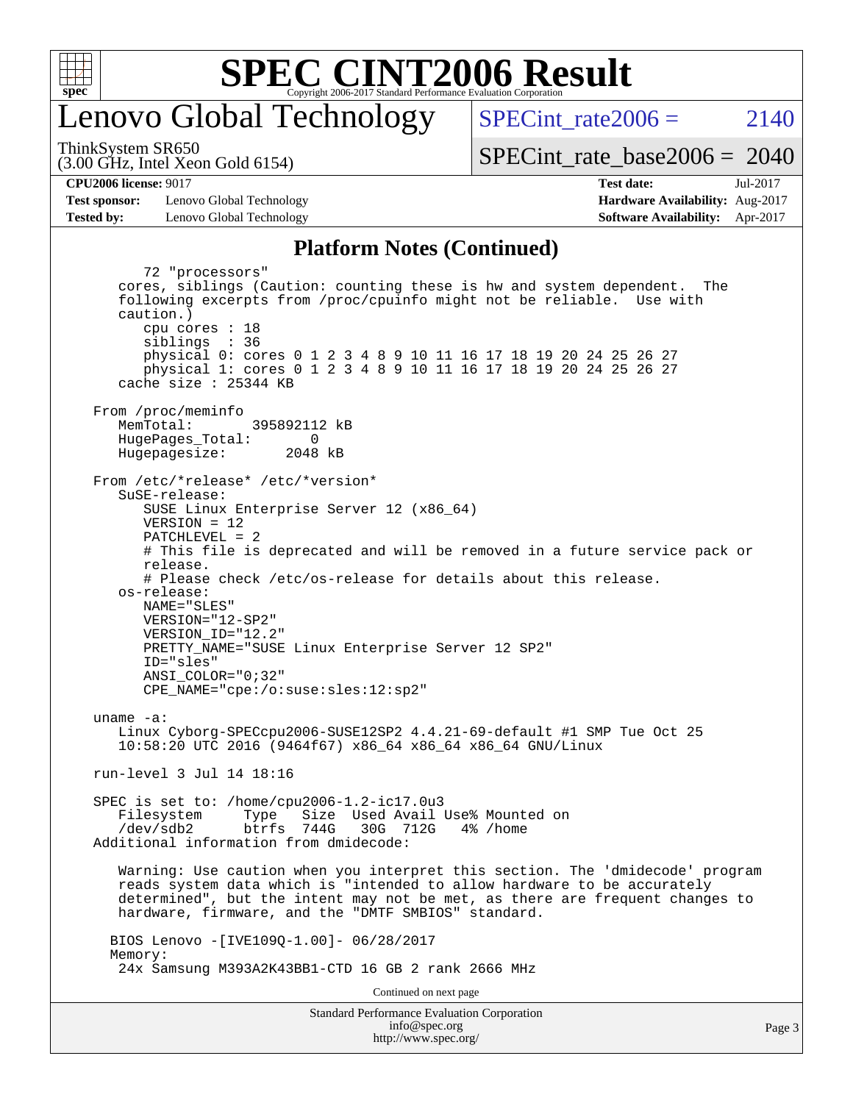

### enovo Global Technology

SPECint rate  $2006 = 2140$ 

(3.00 GHz, Intel Xeon Gold 6154) ThinkSystem SR650

[SPECint\\_rate\\_base2006 =](http://www.spec.org/auto/cpu2006/Docs/result-fields.html#SPECintratebase2006) 2040

**[CPU2006 license:](http://www.spec.org/auto/cpu2006/Docs/result-fields.html#CPU2006license)** 9017 **[Test date:](http://www.spec.org/auto/cpu2006/Docs/result-fields.html#Testdate)** Jul-2017

**[Test sponsor:](http://www.spec.org/auto/cpu2006/Docs/result-fields.html#Testsponsor)** Lenovo Global Technology **[Hardware Availability:](http://www.spec.org/auto/cpu2006/Docs/result-fields.html#HardwareAvailability)** Aug-2017 **[Tested by:](http://www.spec.org/auto/cpu2006/Docs/result-fields.html#Testedby)** Lenovo Global Technology **[Software Availability:](http://www.spec.org/auto/cpu2006/Docs/result-fields.html#SoftwareAvailability)** Apr-2017

#### **[Platform Notes \(Continued\)](http://www.spec.org/auto/cpu2006/Docs/result-fields.html#PlatformNotes)**

Standard Performance Evaluation Corporation [info@spec.org](mailto:info@spec.org) 72 "processors" cores, siblings (Caution: counting these is hw and system dependent. The following excerpts from /proc/cpuinfo might not be reliable. Use with caution.) cpu cores : 18 siblings : 36 physical 0: cores 0 1 2 3 4 8 9 10 11 16 17 18 19 20 24 25 26 27 physical 1: cores 0 1 2 3 4 8 9 10 11 16 17 18 19 20 24 25 26 27 cache size : 25344 KB From /proc/meminfo MemTotal: 395892112 kB HugePages\_Total: 0<br>Hugepagesize: 2048 kB Hugepagesize: From /etc/\*release\* /etc/\*version\* SuSE-release: SUSE Linux Enterprise Server 12 (x86\_64) VERSION = 12 PATCHLEVEL = 2 # This file is deprecated and will be removed in a future service pack or release. # Please check /etc/os-release for details about this release. os-release: NAME="SLES" VERSION="12-SP2" VERSION\_ID="12.2" PRETTY\_NAME="SUSE Linux Enterprise Server 12 SP2" ID="sles" ANSI\_COLOR="0;32" CPE\_NAME="cpe:/o:suse:sles:12:sp2" uname -a: Linux Cyborg-SPECcpu2006-SUSE12SP2 4.4.21-69-default #1 SMP Tue Oct 25 10:58:20 UTC 2016 (9464f67) x86\_64 x86\_64 x86\_64 GNU/Linux run-level 3 Jul 14 18:16 SPEC is set to: /home/cpu2006-1.2-ic17.0u3 Filesystem Type Size Used Avail Use% Mounted on /dev/sdb2 btrfs 744G 30G 712G 4% /home Additional information from dmidecode: Warning: Use caution when you interpret this section. The 'dmidecode' program reads system data which is "intended to allow hardware to be accurately determined", but the intent may not be met, as there are frequent changes to hardware, firmware, and the "DMTF SMBIOS" standard. BIOS Lenovo -[IVE109Q-1.00]- 06/28/2017 Memory: 24x Samsung M393A2K43BB1-CTD 16 GB 2 rank 2666 MHz Continued on next page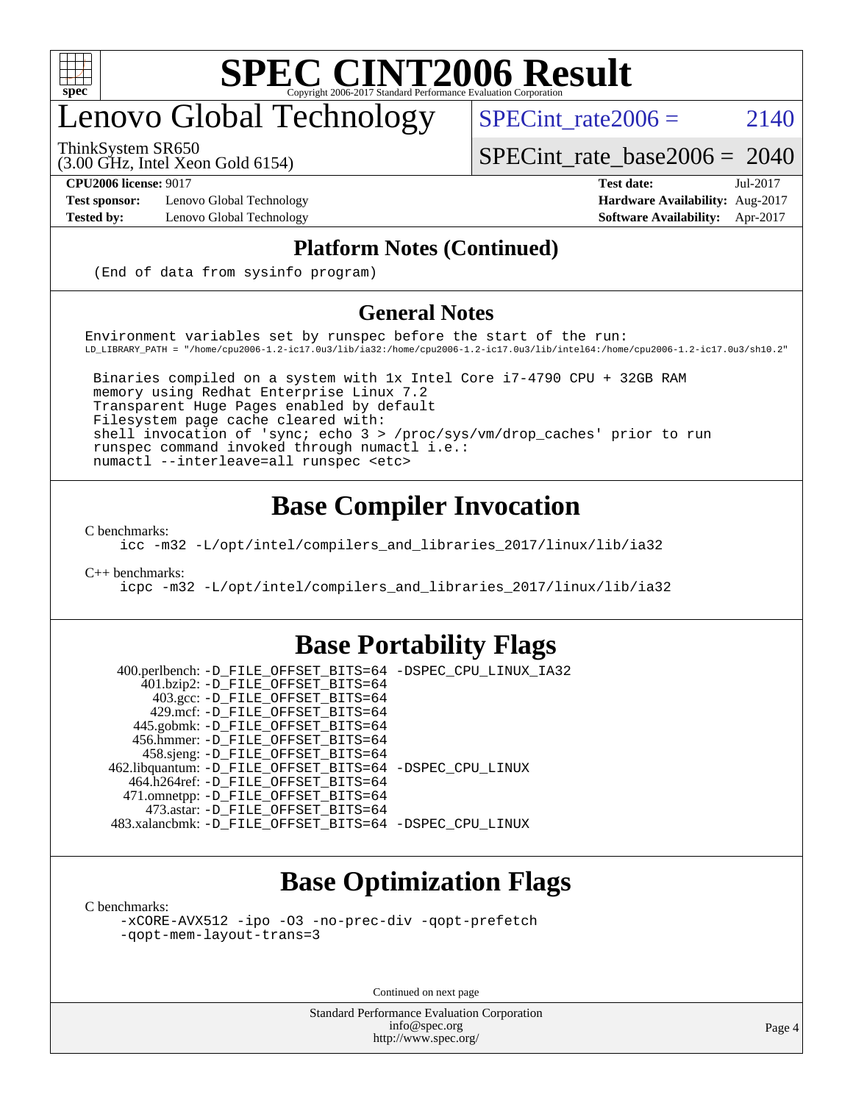

## enovo Global Technology

ThinkSystem SR650

[SPECint\\_rate\\_base2006 =](http://www.spec.org/auto/cpu2006/Docs/result-fields.html#SPECintratebase2006) 2040

(3.00 GHz, Intel Xeon Gold 6154)

**[Test sponsor:](http://www.spec.org/auto/cpu2006/Docs/result-fields.html#Testsponsor)** Lenovo Global Technology **[Hardware Availability:](http://www.spec.org/auto/cpu2006/Docs/result-fields.html#HardwareAvailability)** Aug-2017

**[CPU2006 license:](http://www.spec.org/auto/cpu2006/Docs/result-fields.html#CPU2006license)** 9017 **[Test date:](http://www.spec.org/auto/cpu2006/Docs/result-fields.html#Testdate)** Jul-2017 **[Tested by:](http://www.spec.org/auto/cpu2006/Docs/result-fields.html#Testedby)** Lenovo Global Technology **[Software Availability:](http://www.spec.org/auto/cpu2006/Docs/result-fields.html#SoftwareAvailability)** Apr-2017

SPECint rate  $2006 = 2140$ 

#### **[Platform Notes \(Continued\)](http://www.spec.org/auto/cpu2006/Docs/result-fields.html#PlatformNotes)**

(End of data from sysinfo program)

#### **[General Notes](http://www.spec.org/auto/cpu2006/Docs/result-fields.html#GeneralNotes)**

Environment variables set by runspec before the start of the run: LD\_LIBRARY\_PATH = "/home/cpu2006-1.2-ic17.0u3/lib/ia32:/home/cpu2006-1.2-ic17.0u3/lib/intel64:/home/cpu2006-1.2-ic17.0u3/sh10.2"

 Binaries compiled on a system with 1x Intel Core i7-4790 CPU + 32GB RAM memory using Redhat Enterprise Linux 7.2 Transparent Huge Pages enabled by default Filesystem page cache cleared with: shell invocation of 'sync; echo 3 > /proc/sys/vm/drop\_caches' prior to run runspec command invoked through numactl i.e.: numactl --interleave=all runspec <etc>

### **[Base Compiler Invocation](http://www.spec.org/auto/cpu2006/Docs/result-fields.html#BaseCompilerInvocation)**

[C benchmarks](http://www.spec.org/auto/cpu2006/Docs/result-fields.html#Cbenchmarks):

[icc -m32 -L/opt/intel/compilers\\_and\\_libraries\\_2017/linux/lib/ia32](http://www.spec.org/cpu2006/results/res2017q4/cpu2006-20170918-49742.flags.html#user_CCbase_intel_icc_c29f3ff5a7ed067b11e4ec10a03f03ae)

[C++ benchmarks:](http://www.spec.org/auto/cpu2006/Docs/result-fields.html#CXXbenchmarks)

[icpc -m32 -L/opt/intel/compilers\\_and\\_libraries\\_2017/linux/lib/ia32](http://www.spec.org/cpu2006/results/res2017q4/cpu2006-20170918-49742.flags.html#user_CXXbase_intel_icpc_8c35c7808b62dab9ae41a1aa06361b6b)

### **[Base Portability Flags](http://www.spec.org/auto/cpu2006/Docs/result-fields.html#BasePortabilityFlags)**

 400.perlbench: [-D\\_FILE\\_OFFSET\\_BITS=64](http://www.spec.org/cpu2006/results/res2017q4/cpu2006-20170918-49742.flags.html#user_basePORTABILITY400_perlbench_file_offset_bits_64_438cf9856305ebd76870a2c6dc2689ab) [-DSPEC\\_CPU\\_LINUX\\_IA32](http://www.spec.org/cpu2006/results/res2017q4/cpu2006-20170918-49742.flags.html#b400.perlbench_baseCPORTABILITY_DSPEC_CPU_LINUX_IA32) 401.bzip2: [-D\\_FILE\\_OFFSET\\_BITS=64](http://www.spec.org/cpu2006/results/res2017q4/cpu2006-20170918-49742.flags.html#user_basePORTABILITY401_bzip2_file_offset_bits_64_438cf9856305ebd76870a2c6dc2689ab) 403.gcc: [-D\\_FILE\\_OFFSET\\_BITS=64](http://www.spec.org/cpu2006/results/res2017q4/cpu2006-20170918-49742.flags.html#user_basePORTABILITY403_gcc_file_offset_bits_64_438cf9856305ebd76870a2c6dc2689ab) 429.mcf: [-D\\_FILE\\_OFFSET\\_BITS=64](http://www.spec.org/cpu2006/results/res2017q4/cpu2006-20170918-49742.flags.html#user_basePORTABILITY429_mcf_file_offset_bits_64_438cf9856305ebd76870a2c6dc2689ab) 445.gobmk: [-D\\_FILE\\_OFFSET\\_BITS=64](http://www.spec.org/cpu2006/results/res2017q4/cpu2006-20170918-49742.flags.html#user_basePORTABILITY445_gobmk_file_offset_bits_64_438cf9856305ebd76870a2c6dc2689ab) 456.hmmer: [-D\\_FILE\\_OFFSET\\_BITS=64](http://www.spec.org/cpu2006/results/res2017q4/cpu2006-20170918-49742.flags.html#user_basePORTABILITY456_hmmer_file_offset_bits_64_438cf9856305ebd76870a2c6dc2689ab) 458.sjeng: [-D\\_FILE\\_OFFSET\\_BITS=64](http://www.spec.org/cpu2006/results/res2017q4/cpu2006-20170918-49742.flags.html#user_basePORTABILITY458_sjeng_file_offset_bits_64_438cf9856305ebd76870a2c6dc2689ab) 462.libquantum: [-D\\_FILE\\_OFFSET\\_BITS=64](http://www.spec.org/cpu2006/results/res2017q4/cpu2006-20170918-49742.flags.html#user_basePORTABILITY462_libquantum_file_offset_bits_64_438cf9856305ebd76870a2c6dc2689ab) [-DSPEC\\_CPU\\_LINUX](http://www.spec.org/cpu2006/results/res2017q4/cpu2006-20170918-49742.flags.html#b462.libquantum_baseCPORTABILITY_DSPEC_CPU_LINUX) 464.h264ref: [-D\\_FILE\\_OFFSET\\_BITS=64](http://www.spec.org/cpu2006/results/res2017q4/cpu2006-20170918-49742.flags.html#user_basePORTABILITY464_h264ref_file_offset_bits_64_438cf9856305ebd76870a2c6dc2689ab) 471.omnetpp: [-D\\_FILE\\_OFFSET\\_BITS=64](http://www.spec.org/cpu2006/results/res2017q4/cpu2006-20170918-49742.flags.html#user_basePORTABILITY471_omnetpp_file_offset_bits_64_438cf9856305ebd76870a2c6dc2689ab) 473.astar: [-D\\_FILE\\_OFFSET\\_BITS=64](http://www.spec.org/cpu2006/results/res2017q4/cpu2006-20170918-49742.flags.html#user_basePORTABILITY473_astar_file_offset_bits_64_438cf9856305ebd76870a2c6dc2689ab) 483.xalancbmk: [-D\\_FILE\\_OFFSET\\_BITS=64](http://www.spec.org/cpu2006/results/res2017q4/cpu2006-20170918-49742.flags.html#user_basePORTABILITY483_xalancbmk_file_offset_bits_64_438cf9856305ebd76870a2c6dc2689ab) [-DSPEC\\_CPU\\_LINUX](http://www.spec.org/cpu2006/results/res2017q4/cpu2006-20170918-49742.flags.html#b483.xalancbmk_baseCXXPORTABILITY_DSPEC_CPU_LINUX)

### **[Base Optimization Flags](http://www.spec.org/auto/cpu2006/Docs/result-fields.html#BaseOptimizationFlags)**

[C benchmarks](http://www.spec.org/auto/cpu2006/Docs/result-fields.html#Cbenchmarks):

[-xCORE-AVX512](http://www.spec.org/cpu2006/results/res2017q4/cpu2006-20170918-49742.flags.html#user_CCbase_f-xCORE-AVX512) [-ipo](http://www.spec.org/cpu2006/results/res2017q4/cpu2006-20170918-49742.flags.html#user_CCbase_f-ipo) [-O3](http://www.spec.org/cpu2006/results/res2017q4/cpu2006-20170918-49742.flags.html#user_CCbase_f-O3) [-no-prec-div](http://www.spec.org/cpu2006/results/res2017q4/cpu2006-20170918-49742.flags.html#user_CCbase_f-no-prec-div) [-qopt-prefetch](http://www.spec.org/cpu2006/results/res2017q4/cpu2006-20170918-49742.flags.html#user_CCbase_f-qopt-prefetch) [-qopt-mem-layout-trans=3](http://www.spec.org/cpu2006/results/res2017q4/cpu2006-20170918-49742.flags.html#user_CCbase_f-qopt-mem-layout-trans_170f5be61cd2cedc9b54468c59262d5d)

Continued on next page

Standard Performance Evaluation Corporation [info@spec.org](mailto:info@spec.org) <http://www.spec.org/>

Page 4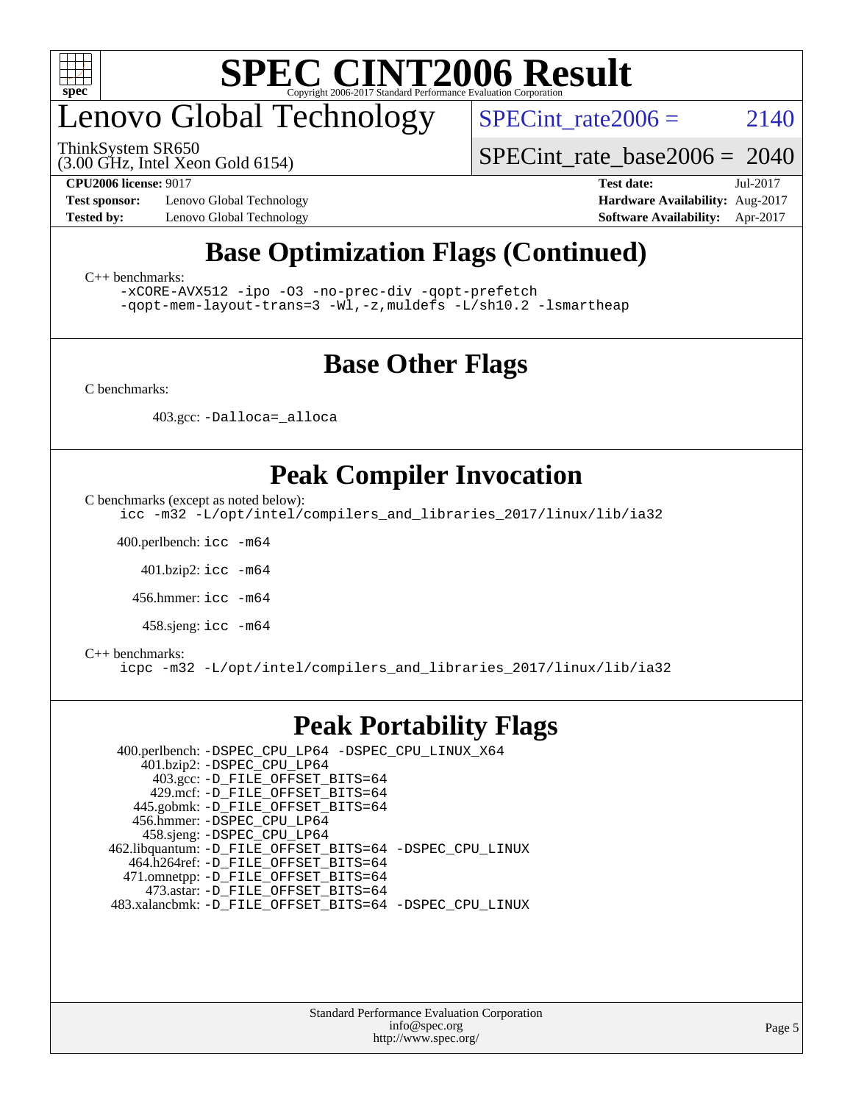

## enovo Global Technology

ThinkSystem SR650

SPECint rate  $2006 = 2140$ 

(3.00 GHz, Intel Xeon Gold 6154)

**[Test sponsor:](http://www.spec.org/auto/cpu2006/Docs/result-fields.html#Testsponsor)** Lenovo Global Technology **[Hardware Availability:](http://www.spec.org/auto/cpu2006/Docs/result-fields.html#HardwareAvailability)** Aug-2017

[SPECint\\_rate\\_base2006 =](http://www.spec.org/auto/cpu2006/Docs/result-fields.html#SPECintratebase2006) 2040 **[CPU2006 license:](http://www.spec.org/auto/cpu2006/Docs/result-fields.html#CPU2006license)** 9017 **[Test date:](http://www.spec.org/auto/cpu2006/Docs/result-fields.html#Testdate)** Jul-2017

#### **[Tested by:](http://www.spec.org/auto/cpu2006/Docs/result-fields.html#Testedby)** Lenovo Global Technology **[Software Availability:](http://www.spec.org/auto/cpu2006/Docs/result-fields.html#SoftwareAvailability)** Apr-2017

### **[Base Optimization Flags \(Continued\)](http://www.spec.org/auto/cpu2006/Docs/result-fields.html#BaseOptimizationFlags)**

[C++ benchmarks:](http://www.spec.org/auto/cpu2006/Docs/result-fields.html#CXXbenchmarks)

[-xCORE-AVX512](http://www.spec.org/cpu2006/results/res2017q4/cpu2006-20170918-49742.flags.html#user_CXXbase_f-xCORE-AVX512) [-ipo](http://www.spec.org/cpu2006/results/res2017q4/cpu2006-20170918-49742.flags.html#user_CXXbase_f-ipo) [-O3](http://www.spec.org/cpu2006/results/res2017q4/cpu2006-20170918-49742.flags.html#user_CXXbase_f-O3) [-no-prec-div](http://www.spec.org/cpu2006/results/res2017q4/cpu2006-20170918-49742.flags.html#user_CXXbase_f-no-prec-div) [-qopt-prefetch](http://www.spec.org/cpu2006/results/res2017q4/cpu2006-20170918-49742.flags.html#user_CXXbase_f-qopt-prefetch) [-qopt-mem-layout-trans=3](http://www.spec.org/cpu2006/results/res2017q4/cpu2006-20170918-49742.flags.html#user_CXXbase_f-qopt-mem-layout-trans_170f5be61cd2cedc9b54468c59262d5d) [-Wl,-z,muldefs](http://www.spec.org/cpu2006/results/res2017q4/cpu2006-20170918-49742.flags.html#user_CXXbase_link_force_multiple1_74079c344b956b9658436fd1b6dd3a8a) [-L/sh10.2 -lsmartheap](http://www.spec.org/cpu2006/results/res2017q4/cpu2006-20170918-49742.flags.html#user_CXXbase_SmartHeap_b831f2d313e2fffa6dfe3f00ffc1f1c0)

### **[Base Other Flags](http://www.spec.org/auto/cpu2006/Docs/result-fields.html#BaseOtherFlags)**

[C benchmarks](http://www.spec.org/auto/cpu2006/Docs/result-fields.html#Cbenchmarks):

403.gcc: [-Dalloca=\\_alloca](http://www.spec.org/cpu2006/results/res2017q4/cpu2006-20170918-49742.flags.html#b403.gcc_baseEXTRA_CFLAGS_Dalloca_be3056838c12de2578596ca5467af7f3)

### **[Peak Compiler Invocation](http://www.spec.org/auto/cpu2006/Docs/result-fields.html#PeakCompilerInvocation)**

[C benchmarks \(except as noted below\)](http://www.spec.org/auto/cpu2006/Docs/result-fields.html#Cbenchmarksexceptasnotedbelow):

[icc -m32 -L/opt/intel/compilers\\_and\\_libraries\\_2017/linux/lib/ia32](http://www.spec.org/cpu2006/results/res2017q4/cpu2006-20170918-49742.flags.html#user_CCpeak_intel_icc_c29f3ff5a7ed067b11e4ec10a03f03ae)

400.perlbench: [icc -m64](http://www.spec.org/cpu2006/results/res2017q4/cpu2006-20170918-49742.flags.html#user_peakCCLD400_perlbench_intel_icc_64bit_bda6cc9af1fdbb0edc3795bac97ada53)

401.bzip2: [icc -m64](http://www.spec.org/cpu2006/results/res2017q4/cpu2006-20170918-49742.flags.html#user_peakCCLD401_bzip2_intel_icc_64bit_bda6cc9af1fdbb0edc3795bac97ada53)

456.hmmer: [icc -m64](http://www.spec.org/cpu2006/results/res2017q4/cpu2006-20170918-49742.flags.html#user_peakCCLD456_hmmer_intel_icc_64bit_bda6cc9af1fdbb0edc3795bac97ada53)

458.sjeng: [icc -m64](http://www.spec.org/cpu2006/results/res2017q4/cpu2006-20170918-49742.flags.html#user_peakCCLD458_sjeng_intel_icc_64bit_bda6cc9af1fdbb0edc3795bac97ada53)

#### [C++ benchmarks:](http://www.spec.org/auto/cpu2006/Docs/result-fields.html#CXXbenchmarks)

[icpc -m32 -L/opt/intel/compilers\\_and\\_libraries\\_2017/linux/lib/ia32](http://www.spec.org/cpu2006/results/res2017q4/cpu2006-20170918-49742.flags.html#user_CXXpeak_intel_icpc_8c35c7808b62dab9ae41a1aa06361b6b)

### **[Peak Portability Flags](http://www.spec.org/auto/cpu2006/Docs/result-fields.html#PeakPortabilityFlags)**

 400.perlbench: [-DSPEC\\_CPU\\_LP64](http://www.spec.org/cpu2006/results/res2017q4/cpu2006-20170918-49742.flags.html#b400.perlbench_peakCPORTABILITY_DSPEC_CPU_LP64) [-DSPEC\\_CPU\\_LINUX\\_X64](http://www.spec.org/cpu2006/results/res2017q4/cpu2006-20170918-49742.flags.html#b400.perlbench_peakCPORTABILITY_DSPEC_CPU_LINUX_X64) 401.bzip2: [-DSPEC\\_CPU\\_LP64](http://www.spec.org/cpu2006/results/res2017q4/cpu2006-20170918-49742.flags.html#suite_peakCPORTABILITY401_bzip2_DSPEC_CPU_LP64) 403.gcc: [-D\\_FILE\\_OFFSET\\_BITS=64](http://www.spec.org/cpu2006/results/res2017q4/cpu2006-20170918-49742.flags.html#user_peakPORTABILITY403_gcc_file_offset_bits_64_438cf9856305ebd76870a2c6dc2689ab) 429.mcf: [-D\\_FILE\\_OFFSET\\_BITS=64](http://www.spec.org/cpu2006/results/res2017q4/cpu2006-20170918-49742.flags.html#user_peakPORTABILITY429_mcf_file_offset_bits_64_438cf9856305ebd76870a2c6dc2689ab) 445.gobmk: [-D\\_FILE\\_OFFSET\\_BITS=64](http://www.spec.org/cpu2006/results/res2017q4/cpu2006-20170918-49742.flags.html#user_peakPORTABILITY445_gobmk_file_offset_bits_64_438cf9856305ebd76870a2c6dc2689ab) 456.hmmer: [-DSPEC\\_CPU\\_LP64](http://www.spec.org/cpu2006/results/res2017q4/cpu2006-20170918-49742.flags.html#suite_peakCPORTABILITY456_hmmer_DSPEC_CPU_LP64) 458.sjeng: [-DSPEC\\_CPU\\_LP64](http://www.spec.org/cpu2006/results/res2017q4/cpu2006-20170918-49742.flags.html#suite_peakCPORTABILITY458_sjeng_DSPEC_CPU_LP64) 462.libquantum: [-D\\_FILE\\_OFFSET\\_BITS=64](http://www.spec.org/cpu2006/results/res2017q4/cpu2006-20170918-49742.flags.html#user_peakPORTABILITY462_libquantum_file_offset_bits_64_438cf9856305ebd76870a2c6dc2689ab) [-DSPEC\\_CPU\\_LINUX](http://www.spec.org/cpu2006/results/res2017q4/cpu2006-20170918-49742.flags.html#b462.libquantum_peakCPORTABILITY_DSPEC_CPU_LINUX) 464.h264ref: [-D\\_FILE\\_OFFSET\\_BITS=64](http://www.spec.org/cpu2006/results/res2017q4/cpu2006-20170918-49742.flags.html#user_peakPORTABILITY464_h264ref_file_offset_bits_64_438cf9856305ebd76870a2c6dc2689ab) 471.omnetpp: [-D\\_FILE\\_OFFSET\\_BITS=64](http://www.spec.org/cpu2006/results/res2017q4/cpu2006-20170918-49742.flags.html#user_peakPORTABILITY471_omnetpp_file_offset_bits_64_438cf9856305ebd76870a2c6dc2689ab) 473.astar: [-D\\_FILE\\_OFFSET\\_BITS=64](http://www.spec.org/cpu2006/results/res2017q4/cpu2006-20170918-49742.flags.html#user_peakPORTABILITY473_astar_file_offset_bits_64_438cf9856305ebd76870a2c6dc2689ab) 483.xalancbmk: [-D\\_FILE\\_OFFSET\\_BITS=64](http://www.spec.org/cpu2006/results/res2017q4/cpu2006-20170918-49742.flags.html#user_peakPORTABILITY483_xalancbmk_file_offset_bits_64_438cf9856305ebd76870a2c6dc2689ab) [-DSPEC\\_CPU\\_LINUX](http://www.spec.org/cpu2006/results/res2017q4/cpu2006-20170918-49742.flags.html#b483.xalancbmk_peakCXXPORTABILITY_DSPEC_CPU_LINUX)

> Standard Performance Evaluation Corporation [info@spec.org](mailto:info@spec.org) <http://www.spec.org/>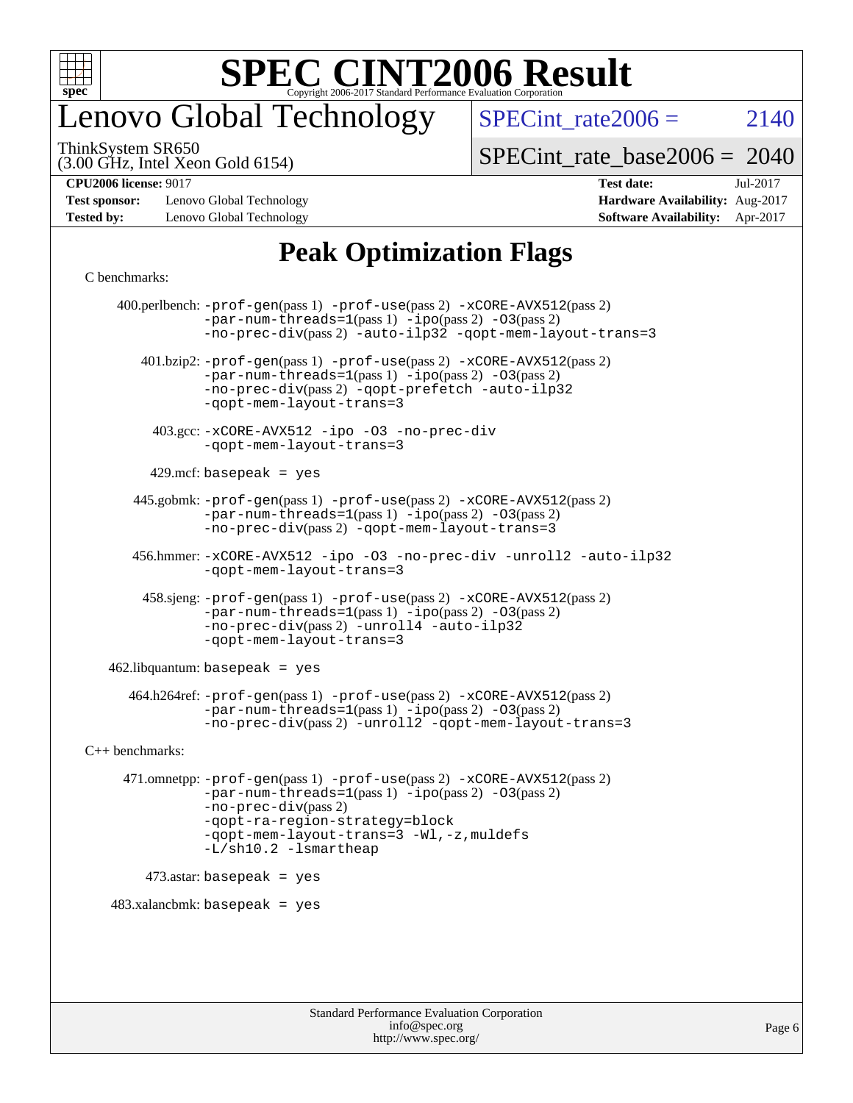

### enovo Global Technology

SPECint rate  $2006 = 2140$ 

(3.00 GHz, Intel Xeon Gold 6154) ThinkSystem SR650

[SPECint\\_rate\\_base2006 =](http://www.spec.org/auto/cpu2006/Docs/result-fields.html#SPECintratebase2006) 2040

**[Test sponsor:](http://www.spec.org/auto/cpu2006/Docs/result-fields.html#Testsponsor)** Lenovo Global Technology **[Hardware Availability:](http://www.spec.org/auto/cpu2006/Docs/result-fields.html#HardwareAvailability)** Aug-2017 **[Tested by:](http://www.spec.org/auto/cpu2006/Docs/result-fields.html#Testedby)** Lenovo Global Technology **[Software Availability:](http://www.spec.org/auto/cpu2006/Docs/result-fields.html#SoftwareAvailability)** Apr-2017

# **[CPU2006 license:](http://www.spec.org/auto/cpu2006/Docs/result-fields.html#CPU2006license)** 9017 **[Test date:](http://www.spec.org/auto/cpu2006/Docs/result-fields.html#Testdate)** Jul-2017

### **[Peak Optimization Flags](http://www.spec.org/auto/cpu2006/Docs/result-fields.html#PeakOptimizationFlags)**

#### [C benchmarks](http://www.spec.org/auto/cpu2006/Docs/result-fields.html#Cbenchmarks):

 400.perlbench: [-prof-gen](http://www.spec.org/cpu2006/results/res2017q4/cpu2006-20170918-49742.flags.html#user_peakPASS1_CFLAGSPASS1_LDCFLAGS400_perlbench_prof_gen_e43856698f6ca7b7e442dfd80e94a8fc)(pass 1) [-prof-use](http://www.spec.org/cpu2006/results/res2017q4/cpu2006-20170918-49742.flags.html#user_peakPASS2_CFLAGSPASS2_LDCFLAGS400_perlbench_prof_use_bccf7792157ff70d64e32fe3e1250b55)(pass 2) [-xCORE-AVX512](http://www.spec.org/cpu2006/results/res2017q4/cpu2006-20170918-49742.flags.html#user_peakPASS2_CFLAGSPASS2_LDCFLAGS400_perlbench_f-xCORE-AVX512)(pass 2)  $-par-num-threads=1(pass 1) -ipo(pass 2) -O3(pass 2)$  $-par-num-threads=1(pass 1) -ipo(pass 2) -O3(pass 2)$  $-par-num-threads=1(pass 1) -ipo(pass 2) -O3(pass 2)$  $-par-num-threads=1(pass 1) -ipo(pass 2) -O3(pass 2)$  $-par-num-threads=1(pass 1) -ipo(pass 2) -O3(pass 2)$  $-par-num-threads=1(pass 1) -ipo(pass 2) -O3(pass 2)$ [-no-prec-div](http://www.spec.org/cpu2006/results/res2017q4/cpu2006-20170918-49742.flags.html#user_peakPASS2_CFLAGSPASS2_LDCFLAGS400_perlbench_f-no-prec-div)(pass 2) [-auto-ilp32](http://www.spec.org/cpu2006/results/res2017q4/cpu2006-20170918-49742.flags.html#user_peakCOPTIMIZE400_perlbench_f-auto-ilp32) [-qopt-mem-layout-trans=3](http://www.spec.org/cpu2006/results/res2017q4/cpu2006-20170918-49742.flags.html#user_peakCOPTIMIZE400_perlbench_f-qopt-mem-layout-trans_170f5be61cd2cedc9b54468c59262d5d) 401.bzip2: [-prof-gen](http://www.spec.org/cpu2006/results/res2017q4/cpu2006-20170918-49742.flags.html#user_peakPASS1_CFLAGSPASS1_LDCFLAGS401_bzip2_prof_gen_e43856698f6ca7b7e442dfd80e94a8fc)(pass 1) [-prof-use](http://www.spec.org/cpu2006/results/res2017q4/cpu2006-20170918-49742.flags.html#user_peakPASS2_CFLAGSPASS2_LDCFLAGS401_bzip2_prof_use_bccf7792157ff70d64e32fe3e1250b55)(pass 2) [-xCORE-AVX512](http://www.spec.org/cpu2006/results/res2017q4/cpu2006-20170918-49742.flags.html#user_peakPASS2_CFLAGSPASS2_LDCFLAGS401_bzip2_f-xCORE-AVX512)(pass 2) [-par-num-threads=1](http://www.spec.org/cpu2006/results/res2017q4/cpu2006-20170918-49742.flags.html#user_peakPASS1_CFLAGSPASS1_LDCFLAGS401_bzip2_par_num_threads_786a6ff141b4e9e90432e998842df6c2)(pass 1) [-ipo](http://www.spec.org/cpu2006/results/res2017q4/cpu2006-20170918-49742.flags.html#user_peakPASS2_CFLAGSPASS2_LDCFLAGS401_bzip2_f-ipo)(pass 2) [-O3](http://www.spec.org/cpu2006/results/res2017q4/cpu2006-20170918-49742.flags.html#user_peakPASS2_CFLAGSPASS2_LDCFLAGS401_bzip2_f-O3)(pass 2) [-no-prec-div](http://www.spec.org/cpu2006/results/res2017q4/cpu2006-20170918-49742.flags.html#user_peakPASS2_CFLAGSPASS2_LDCFLAGS401_bzip2_f-no-prec-div)(pass 2) [-qopt-prefetch](http://www.spec.org/cpu2006/results/res2017q4/cpu2006-20170918-49742.flags.html#user_peakCOPTIMIZE401_bzip2_f-qopt-prefetch) [-auto-ilp32](http://www.spec.org/cpu2006/results/res2017q4/cpu2006-20170918-49742.flags.html#user_peakCOPTIMIZE401_bzip2_f-auto-ilp32) [-qopt-mem-layout-trans=3](http://www.spec.org/cpu2006/results/res2017q4/cpu2006-20170918-49742.flags.html#user_peakCOPTIMIZE401_bzip2_f-qopt-mem-layout-trans_170f5be61cd2cedc9b54468c59262d5d) 403.gcc: [-xCORE-AVX512](http://www.spec.org/cpu2006/results/res2017q4/cpu2006-20170918-49742.flags.html#user_peakOPTIMIZE403_gcc_f-xCORE-AVX512) [-ipo](http://www.spec.org/cpu2006/results/res2017q4/cpu2006-20170918-49742.flags.html#user_peakOPTIMIZE403_gcc_f-ipo) [-O3](http://www.spec.org/cpu2006/results/res2017q4/cpu2006-20170918-49742.flags.html#user_peakOPTIMIZE403_gcc_f-O3) [-no-prec-div](http://www.spec.org/cpu2006/results/res2017q4/cpu2006-20170918-49742.flags.html#user_peakOPTIMIZE403_gcc_f-no-prec-div) [-qopt-mem-layout-trans=3](http://www.spec.org/cpu2006/results/res2017q4/cpu2006-20170918-49742.flags.html#user_peakCOPTIMIZE403_gcc_f-qopt-mem-layout-trans_170f5be61cd2cedc9b54468c59262d5d)  $429$ .mcf: basepeak = yes 445.gobmk: [-prof-gen](http://www.spec.org/cpu2006/results/res2017q4/cpu2006-20170918-49742.flags.html#user_peakPASS1_CFLAGSPASS1_LDCFLAGS445_gobmk_prof_gen_e43856698f6ca7b7e442dfd80e94a8fc)(pass 1) [-prof-use](http://www.spec.org/cpu2006/results/res2017q4/cpu2006-20170918-49742.flags.html#user_peakPASS2_CFLAGSPASS2_LDCFLAGSPASS2_LDFLAGS445_gobmk_prof_use_bccf7792157ff70d64e32fe3e1250b55)(pass 2) [-xCORE-AVX512](http://www.spec.org/cpu2006/results/res2017q4/cpu2006-20170918-49742.flags.html#user_peakPASS2_CFLAGSPASS2_LDCFLAGSPASS2_LDFLAGS445_gobmk_f-xCORE-AVX512)(pass 2) [-par-num-threads=1](http://www.spec.org/cpu2006/results/res2017q4/cpu2006-20170918-49742.flags.html#user_peakPASS1_CFLAGSPASS1_LDCFLAGS445_gobmk_par_num_threads_786a6ff141b4e9e90432e998842df6c2)(pass 1) [-ipo](http://www.spec.org/cpu2006/results/res2017q4/cpu2006-20170918-49742.flags.html#user_peakPASS2_LDCFLAGS445_gobmk_f-ipo)(pass 2) [-O3](http://www.spec.org/cpu2006/results/res2017q4/cpu2006-20170918-49742.flags.html#user_peakPASS2_LDCFLAGS445_gobmk_f-O3)(pass 2) [-no-prec-div](http://www.spec.org/cpu2006/results/res2017q4/cpu2006-20170918-49742.flags.html#user_peakPASS2_LDCFLAGS445_gobmk_f-no-prec-div)(pass 2) [-qopt-mem-layout-trans=3](http://www.spec.org/cpu2006/results/res2017q4/cpu2006-20170918-49742.flags.html#user_peakCOPTIMIZE445_gobmk_f-qopt-mem-layout-trans_170f5be61cd2cedc9b54468c59262d5d) 456.hmmer: [-xCORE-AVX512](http://www.spec.org/cpu2006/results/res2017q4/cpu2006-20170918-49742.flags.html#user_peakOPTIMIZE456_hmmer_f-xCORE-AVX512) [-ipo](http://www.spec.org/cpu2006/results/res2017q4/cpu2006-20170918-49742.flags.html#user_peakOPTIMIZE456_hmmer_f-ipo) [-O3](http://www.spec.org/cpu2006/results/res2017q4/cpu2006-20170918-49742.flags.html#user_peakOPTIMIZE456_hmmer_f-O3) [-no-prec-div](http://www.spec.org/cpu2006/results/res2017q4/cpu2006-20170918-49742.flags.html#user_peakOPTIMIZE456_hmmer_f-no-prec-div) [-unroll2](http://www.spec.org/cpu2006/results/res2017q4/cpu2006-20170918-49742.flags.html#user_peakCOPTIMIZE456_hmmer_f-unroll_784dae83bebfb236979b41d2422d7ec2) [-auto-ilp32](http://www.spec.org/cpu2006/results/res2017q4/cpu2006-20170918-49742.flags.html#user_peakCOPTIMIZE456_hmmer_f-auto-ilp32) [-qopt-mem-layout-trans=3](http://www.spec.org/cpu2006/results/res2017q4/cpu2006-20170918-49742.flags.html#user_peakCOPTIMIZE456_hmmer_f-qopt-mem-layout-trans_170f5be61cd2cedc9b54468c59262d5d) 458.sjeng: [-prof-gen](http://www.spec.org/cpu2006/results/res2017q4/cpu2006-20170918-49742.flags.html#user_peakPASS1_CFLAGSPASS1_LDCFLAGS458_sjeng_prof_gen_e43856698f6ca7b7e442dfd80e94a8fc)(pass 1) [-prof-use](http://www.spec.org/cpu2006/results/res2017q4/cpu2006-20170918-49742.flags.html#user_peakPASS2_CFLAGSPASS2_LDCFLAGS458_sjeng_prof_use_bccf7792157ff70d64e32fe3e1250b55)(pass 2) [-xCORE-AVX512](http://www.spec.org/cpu2006/results/res2017q4/cpu2006-20170918-49742.flags.html#user_peakPASS2_CFLAGSPASS2_LDCFLAGS458_sjeng_f-xCORE-AVX512)(pass 2) [-par-num-threads=1](http://www.spec.org/cpu2006/results/res2017q4/cpu2006-20170918-49742.flags.html#user_peakPASS1_CFLAGSPASS1_LDCFLAGS458_sjeng_par_num_threads_786a6ff141b4e9e90432e998842df6c2)(pass 1) [-ipo](http://www.spec.org/cpu2006/results/res2017q4/cpu2006-20170918-49742.flags.html#user_peakPASS2_CFLAGSPASS2_LDCFLAGS458_sjeng_f-ipo)(pass 2) [-O3](http://www.spec.org/cpu2006/results/res2017q4/cpu2006-20170918-49742.flags.html#user_peakPASS2_CFLAGSPASS2_LDCFLAGS458_sjeng_f-O3)(pass 2) [-no-prec-div](http://www.spec.org/cpu2006/results/res2017q4/cpu2006-20170918-49742.flags.html#user_peakPASS2_CFLAGSPASS2_LDCFLAGS458_sjeng_f-no-prec-div)(pass 2) [-unroll4](http://www.spec.org/cpu2006/results/res2017q4/cpu2006-20170918-49742.flags.html#user_peakCOPTIMIZE458_sjeng_f-unroll_4e5e4ed65b7fd20bdcd365bec371b81f) [-auto-ilp32](http://www.spec.org/cpu2006/results/res2017q4/cpu2006-20170918-49742.flags.html#user_peakCOPTIMIZE458_sjeng_f-auto-ilp32) [-qopt-mem-layout-trans=3](http://www.spec.org/cpu2006/results/res2017q4/cpu2006-20170918-49742.flags.html#user_peakCOPTIMIZE458_sjeng_f-qopt-mem-layout-trans_170f5be61cd2cedc9b54468c59262d5d)  $462$ .libquantum: basepeak = yes 464.h264ref: [-prof-gen](http://www.spec.org/cpu2006/results/res2017q4/cpu2006-20170918-49742.flags.html#user_peakPASS1_CFLAGSPASS1_LDCFLAGS464_h264ref_prof_gen_e43856698f6ca7b7e442dfd80e94a8fc)(pass 1) [-prof-use](http://www.spec.org/cpu2006/results/res2017q4/cpu2006-20170918-49742.flags.html#user_peakPASS2_CFLAGSPASS2_LDCFLAGS464_h264ref_prof_use_bccf7792157ff70d64e32fe3e1250b55)(pass 2) [-xCORE-AVX512](http://www.spec.org/cpu2006/results/res2017q4/cpu2006-20170918-49742.flags.html#user_peakPASS2_CFLAGSPASS2_LDCFLAGS464_h264ref_f-xCORE-AVX512)(pass 2) [-par-num-threads=1](http://www.spec.org/cpu2006/results/res2017q4/cpu2006-20170918-49742.flags.html#user_peakPASS1_CFLAGSPASS1_LDCFLAGS464_h264ref_par_num_threads_786a6ff141b4e9e90432e998842df6c2)(pass 1) [-ipo](http://www.spec.org/cpu2006/results/res2017q4/cpu2006-20170918-49742.flags.html#user_peakPASS2_CFLAGSPASS2_LDCFLAGS464_h264ref_f-ipo)(pass 2) [-O3](http://www.spec.org/cpu2006/results/res2017q4/cpu2006-20170918-49742.flags.html#user_peakPASS2_CFLAGSPASS2_LDCFLAGS464_h264ref_f-O3)(pass 2) [-no-prec-div](http://www.spec.org/cpu2006/results/res2017q4/cpu2006-20170918-49742.flags.html#user_peakPASS2_CFLAGSPASS2_LDCFLAGS464_h264ref_f-no-prec-div)(pass 2) [-unroll2](http://www.spec.org/cpu2006/results/res2017q4/cpu2006-20170918-49742.flags.html#user_peakCOPTIMIZE464_h264ref_f-unroll_784dae83bebfb236979b41d2422d7ec2) [-qopt-mem-layout-trans=3](http://www.spec.org/cpu2006/results/res2017q4/cpu2006-20170918-49742.flags.html#user_peakCOPTIMIZE464_h264ref_f-qopt-mem-layout-trans_170f5be61cd2cedc9b54468c59262d5d) [C++ benchmarks:](http://www.spec.org/auto/cpu2006/Docs/result-fields.html#CXXbenchmarks) 471.omnetpp: [-prof-gen](http://www.spec.org/cpu2006/results/res2017q4/cpu2006-20170918-49742.flags.html#user_peakPASS1_CXXFLAGSPASS1_LDCXXFLAGS471_omnetpp_prof_gen_e43856698f6ca7b7e442dfd80e94a8fc)(pass 1) [-prof-use](http://www.spec.org/cpu2006/results/res2017q4/cpu2006-20170918-49742.flags.html#user_peakPASS2_CXXFLAGSPASS2_LDCXXFLAGS471_omnetpp_prof_use_bccf7792157ff70d64e32fe3e1250b55)(pass 2) [-xCORE-AVX512](http://www.spec.org/cpu2006/results/res2017q4/cpu2006-20170918-49742.flags.html#user_peakPASS2_CXXFLAGSPASS2_LDCXXFLAGS471_omnetpp_f-xCORE-AVX512)(pass 2) [-par-num-threads=1](http://www.spec.org/cpu2006/results/res2017q4/cpu2006-20170918-49742.flags.html#user_peakPASS1_CXXFLAGSPASS1_LDCXXFLAGS471_omnetpp_par_num_threads_786a6ff141b4e9e90432e998842df6c2)(pass 1) [-ipo](http://www.spec.org/cpu2006/results/res2017q4/cpu2006-20170918-49742.flags.html#user_peakPASS2_CXXFLAGSPASS2_LDCXXFLAGS471_omnetpp_f-ipo)(pass 2) [-O3](http://www.spec.org/cpu2006/results/res2017q4/cpu2006-20170918-49742.flags.html#user_peakPASS2_CXXFLAGSPASS2_LDCXXFLAGS471_omnetpp_f-O3)(pass 2) [-no-prec-div](http://www.spec.org/cpu2006/results/res2017q4/cpu2006-20170918-49742.flags.html#user_peakPASS2_CXXFLAGSPASS2_LDCXXFLAGS471_omnetpp_f-no-prec-div)(pass 2) [-qopt-ra-region-strategy=block](http://www.spec.org/cpu2006/results/res2017q4/cpu2006-20170918-49742.flags.html#user_peakCXXOPTIMIZE471_omnetpp_f-qopt-ra-region-strategy_430aa8f7c220cbde92ae827fa8d9be32)  [-qopt-mem-layout-trans=3](http://www.spec.org/cpu2006/results/res2017q4/cpu2006-20170918-49742.flags.html#user_peakCXXOPTIMIZE471_omnetpp_f-qopt-mem-layout-trans_170f5be61cd2cedc9b54468c59262d5d) [-Wl,-z,muldefs](http://www.spec.org/cpu2006/results/res2017q4/cpu2006-20170918-49742.flags.html#user_peakEXTRA_LDFLAGS471_omnetpp_link_force_multiple1_74079c344b956b9658436fd1b6dd3a8a) [-L/sh10.2 -lsmartheap](http://www.spec.org/cpu2006/results/res2017q4/cpu2006-20170918-49742.flags.html#user_peakEXTRA_LIBS471_omnetpp_SmartHeap_b831f2d313e2fffa6dfe3f00ffc1f1c0) 473.astar: basepeak = yes  $483.xalanchmk: basepeak = yes$